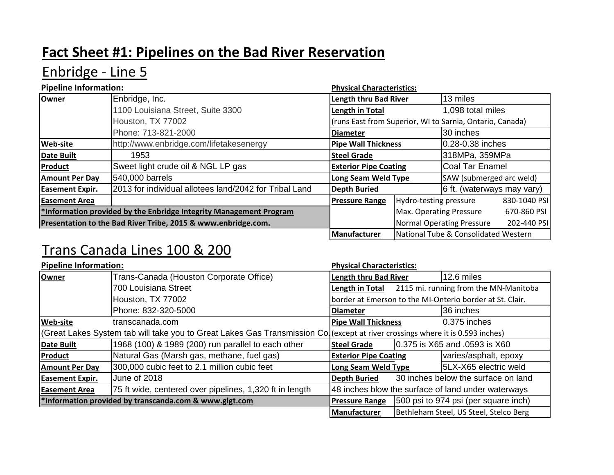# **Fact Sheet #1: Pipelines on the Bad River Reservation**

# Enbridge - Line 5

| <b>Pipeline Information:</b>                                       |                                                        | <b>Physical Characteristics:</b>                         |                            |                                      |              |
|--------------------------------------------------------------------|--------------------------------------------------------|----------------------------------------------------------|----------------------------|--------------------------------------|--------------|
| <b>Owner</b>                                                       | Enbridge, Inc.                                         | <b>Length thru Bad River</b>                             |                            | 13 miles                             |              |
|                                                                    | 1100 Louisiana Street, Suite 3300                      | Length in Total                                          |                            | 1,098 total miles                    |              |
|                                                                    | Houston, TX 77002                                      | (runs East from Superior, WI to Sarnia, Ontario, Canada) |                            |                                      |              |
|                                                                    | Phone: 713-821-2000                                    | <b>Diameter</b>                                          |                            | 30 inches                            |              |
| <b>Web-site</b>                                                    | http://www.enbridge.com/lifetakesenergy                | <b>Pipe Wall Thickness</b>                               |                            | 0.28-0.38 inches                     |              |
| <b>Date Built</b>                                                  | 1953                                                   | <b>Steel Grade</b>                                       |                            | 318MPa, 359MPa                       |              |
| Product                                                            | Sweet light crude oil & NGL LP gas                     | <b>Exterior Pipe Coating</b>                             |                            | Coal Tar Enamel                      |              |
| <b>Amount Per Day</b>                                              | 540,000 barrels                                        | Long Seam Weld Type                                      |                            | SAW (submerged arc weld)             |              |
| <b>Easement Expir.</b>                                             | 2013 for individual allotees land/2042 for Tribal Land | <b>Depth Buried</b>                                      | 6 ft. (waterways may vary) |                                      |              |
| <b>Easement Area</b>                                               |                                                        | <b>Pressure Range</b>                                    | Hydro-testing pressure     |                                      | 830-1040 PSI |
| *Information provided by the Enbridge Integrity Management Program |                                                        |                                                          | Max. Operating Pressure    |                                      | 670-860 PSI  |
| Presentation to the Bad River Tribe, 2015 & www.enbridge.com.      |                                                        |                                                          | Normal Operating Pressure  |                                      | 202-440 PSI  |
|                                                                    |                                                        | Manufacturer                                             |                            | National Tube & Consolidated Western |              |

# Trans Canada Lines 100 & 200

| <b>Pipeline Information:</b>                                                                                                  |                                                         | <b>Physical Characteristics:</b>                         |                                       |                                        |  |
|-------------------------------------------------------------------------------------------------------------------------------|---------------------------------------------------------|----------------------------------------------------------|---------------------------------------|----------------------------------------|--|
| Owner                                                                                                                         | Trans-Canada (Houston Corporate Office)                 | <b>Length thru Bad River</b>                             |                                       | 12.6 miles                             |  |
|                                                                                                                               | 700 Louisiana Street                                    | Length in Total                                          | 2115 mi. running from the MN-Manitoba |                                        |  |
|                                                                                                                               | Houston, TX 77002                                       | border at Emerson to the MI-Onterio border at St. Clair. |                                       |                                        |  |
|                                                                                                                               | Phone: 832-320-5000                                     | <b>Diameter</b>                                          |                                       | 36 inches                              |  |
| <b>Web-site</b>                                                                                                               | transcanada.com                                         | <b>Pipe Wall Thickness</b>                               |                                       | $0.375$ inches                         |  |
| (Great Lakes System tab will take you to Great Lakes Gas Transmission Co)(except at river crossings where it is 0.593 inches) |                                                         |                                                          |                                       |                                        |  |
| <b>Date Built</b>                                                                                                             | 1968 (100) & 1989 (200) run parallel to each other      | <b>Steel Grade</b>                                       |                                       | 0.375 is X65 and .0593 is X60          |  |
| Product                                                                                                                       | Natural Gas (Marsh gas, methane, fuel gas)              | varies/asphalt, epoxy<br><b>Exterior Pipe Coating</b>    |                                       |                                        |  |
| <b>Amount Per Day</b>                                                                                                         | 300,000 cubic feet to 2.1 million cubic feet            | Long Seam Weld Type                                      |                                       | 5LX-X65 electric weld                  |  |
| <b>Easement Expir.</b>                                                                                                        | June of 2018                                            | <b>Depth Buried</b>                                      | 30 inches below the surface on land   |                                        |  |
| <b>Easement Area</b>                                                                                                          | 75 ft wide, centered over pipelines, 1,320 ft in length | 48 inches blow the surface of land under waterways       |                                       |                                        |  |
|                                                                                                                               | *Information provided by transcanda.com & www.glgt.com  | <b>Pressure Range</b>                                    |                                       | 500 psi to 974 psi (per square inch)   |  |
|                                                                                                                               |                                                         | <b>Manufacturer</b>                                      |                                       | Bethleham Steel, US Steel, Stelco Berg |  |